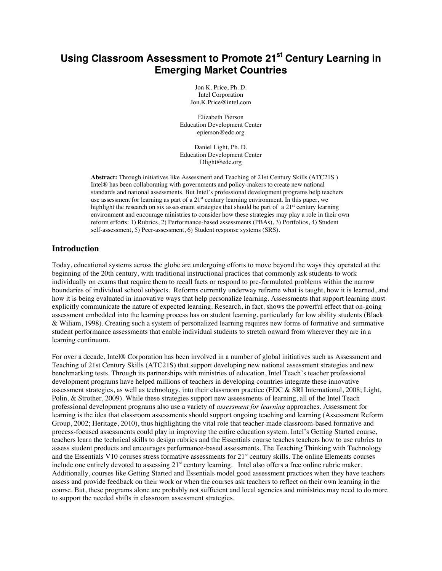# **Using Classroom Assessment to Promote 21st Century Learning in Emerging Market Countries**

Jon K. Price, Ph. D. Intel Corporation Jon.K.Price@intel.com

Elizabeth Pierson Education Development Center epierson@edc.org

Daniel Light, Ph. D. Education Development Center Dlight@edc.org

**Abstract:** Through initiatives like Assessment and Teaching of 21st Century Skills (ATC21S ) Intel® has been collaborating with governments and policy-makers to create new national standards and national assessments. But Intel's professional development programs help teachers use assessment for learning as part of a  $21<sup>st</sup>$  century learning environment. In this paper, we highlight the research on six assessment strategies that should be part of a  $21<sup>st</sup>$  century learning environment and encourage ministries to consider how these strategies may play a role in their own reform efforts: 1) Rubrics, 2) Performance-based assessments (PBAs), 3) Portfolios, 4) Student self-assessment, 5) Peer-assessment, 6) Student response systems (SRS).

# **Introduction**

Today, educational systems across the globe are undergoing efforts to move beyond the ways they operated at the beginning of the 20th century, with traditional instructional practices that commonly ask students to work individually on exams that require them to recall facts or respond to pre-formulated problems within the narrow boundaries of individual school subjects. Reforms currently underway reframe what is taught, how it is learned, and how it is being evaluated in innovative ways that help personalize learning. Assessments that support learning must explicitly communicate the nature of expected learning. Research, in fact, shows the powerful effect that on-going assessment embedded into the learning process has on student learning, particularly for low ability students (Black & Wiliam, 1998). Creating such a system of personalized learning requires new forms of formative and summative student performance assessments that enable individual students to stretch onward from wherever they are in a learning continuum.

For over a decade, Intel® Corporation has been involved in a number of global initiatives such as Assessment and Teaching of 21st Century Skills (ATC21S) that support developing new national assessment strategies and new benchmarking tests. Through its partnerships with ministries of education, Intel Teach's teacher professional development programs have helped millions of teachers in developing countries integrate these innovative assessment strategies, as well as technology, into their classroom practice (EDC & SRI International, 2008; Light, Polin, & Strother, 2009). While these strategies support new assessments of learning, all of the Intel Teach professional development programs also use a variety of *assessment for learning* approaches. Assessment for learning is the idea that classroom assessments should support ongoing teaching and learning (Assessment Reform Group, 2002; Heritage, 2010), thus highlighting the vital role that teacher-made classroom-based formative and process-focused assessments could play in improving the entire education system. Intel's Getting Started course, teachers learn the technical skills to design rubrics and the Essentials course teaches teachers how to use rubrics to assess student products and encourages performance-based assessments. The Teaching Thinking with Technology and the Essentials V10 courses stress formative assessments for 21<sup>st</sup> century skills. The online Elements courses include one entirely devoted to assessing 21<sup>st</sup> century learning. Intel also offers a free online rubric maker. Additionally, courses like Getting Started and Essentials model good assessment practices when they have teachers assess and provide feedback on their work or when the courses ask teachers to reflect on their own learning in the course. But, these programs alone are probably not sufficient and local agencies and ministries may need to do more to support the needed shifts in classroom assessment strategies.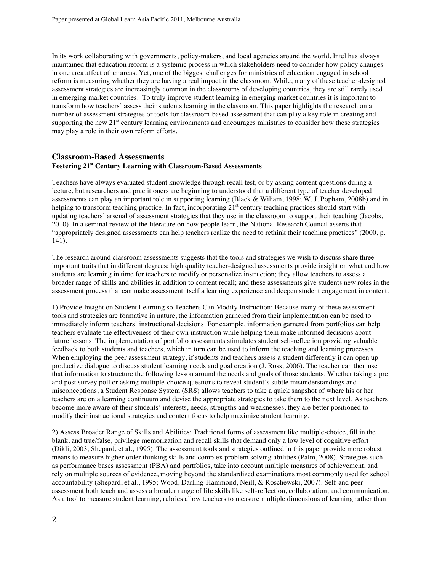In its work collaborating with governments, policy-makers, and local agencies around the world, Intel has always maintained that education reform is a systemic process in which stakeholders need to consider how policy changes in one area affect other areas. Yet, one of the biggest challenges for ministries of education engaged in school reform is measuring whether they are having a real impact in the classroom. While, many of these teacher-designed assessment strategies are increasingly common in the classrooms of developing countries, they are still rarely used in emerging market countries. To truly improve student learning in emerging market countries it is important to transform how teachers' assess their students learning in the classroom. This paper highlights the research on a number of assessment strategies or tools for classroom-based assessment that can play a key role in creating and supporting the new 21<sup>st</sup> century learning environments and encourages ministries to consider how these strategies may play a role in their own reform efforts.

# **Classroom-Based Assessments Fostering 21st Century Learning with Classroom-Based Assessments**

Teachers have always evaluated student knowledge through recall test, or by asking content questions during a lecture, but researchers and practitioners are beginning to understood that a different type of teacher developed assessments can play an important role in supporting learning (Black & Wiliam, 1998; W. J. Popham, 2008b) and in helping to transform teaching practice. In fact, incorporating  $21<sup>st</sup>$  century teaching practices should start with updating teachers' arsenal of assessment strategies that they use in the classroom to support their teaching (Jacobs, 2010). In a seminal review of the literature on how people learn, the National Research Council asserts that "appropriately designed assessments can help teachers realize the need to rethink their teaching practices" (2000, p. 141).

The research around classroom assessments suggests that the tools and strategies we wish to discuss share three important traits that in different degrees: high quality teacher-designed assessments provide insight on what and how students are learning in time for teachers to modify or personalize instruction; they allow teachers to assess a broader range of skills and abilities in addition to content recall; and these assessments give students new roles in the assessment process that can make assessment itself a learning experience and deepen student engagement in content.

1) Provide Insight on Student Learning so Teachers Can Modify Instruction: Because many of these assessment tools and strategies are formative in nature, the information garnered from their implementation can be used to immediately inform teachers' instructional decisions. For example, information garnered from portfolios can help teachers evaluate the effectiveness of their own instruction while helping them make informed decisions about future lessons. The implementation of portfolio assessments stimulates student self-reflection providing valuable feedback to both students and teachers, which in turn can be used to inform the teaching and learning processes. When employing the peer assessment strategy, if students and teachers assess a student differently it can open up productive dialogue to discuss student learning needs and goal creation (J. Ross, 2006). The teacher can then use that information to structure the following lesson around the needs and goals of those students. Whether taking a pre and post survey poll or asking multiple-choice questions to reveal student's subtle misunderstandings and misconceptions, a Student Response System (SRS) allows teachers to take a quick snapshot of where his or her teachers are on a learning continuum and devise the appropriate strategies to take them to the next level. As teachers become more aware of their students' interests, needs, strengths and weaknesses, they are better positioned to modify their instructional strategies and content focus to help maximize student learning.

2) Assess Broader Range of Skills and Abilities: Traditional forms of assessment like multiple-choice, fill in the blank, and true/false, privilege memorization and recall skills that demand only a low level of cognitive effort (Dikli, 2003; Shepard, et al., 1995). The assessment tools and strategies outlined in this paper provide more robust means to measure higher order thinking skills and complex problem solving abilities (Palm, 2008). Strategies such as performance bases assessment (PBA) and portfolios, take into account multiple measures of achievement, and rely on multiple sources of evidence, moving beyond the standardized examinations most commonly used for school accountability (Shepard, et al., 1995; Wood, Darling-Hammond, Neill, & Roschewski, 2007). Self-and peerassessment both teach and assess a broader range of life skills like self-reflection, collaboration, and communication. As a tool to measure student learning, rubrics allow teachers to measure multiple dimensions of learning rather than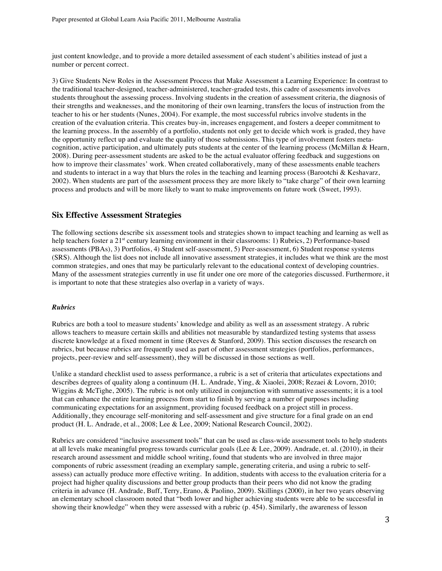just content knowledge, and to provide a more detailed assessment of each student's abilities instead of just a number or percent correct.

3) Give Students New Roles in the Assessment Process that Make Assessment a Learning Experience: In contrast to the traditional teacher-designed, teacher-administered, teacher-graded tests, this cadre of assessments involves students throughout the assessing process. Involving students in the creation of assessment criteria, the diagnosis of their strengths and weaknesses, and the monitoring of their own learning, transfers the locus of instruction from the teacher to his or her students (Nunes, 2004). For example, the most successful rubrics involve students in the creation of the evaluation criteria. This creates buy-in, increases engagement, and fosters a deeper commitment to the learning process. In the assembly of a portfolio, students not only get to decide which work is graded, they have the opportunity reflect up and evaluate the quality of those submissions. This type of involvement fosters metacognition, active participation, and ultimately puts students at the center of the learning process (McMillan & Hearn, 2008). During peer-assessment students are asked to be the actual evaluator offering feedback and suggestions on how to improve their classmates' work. When created collaboratively, many of these assessments enable teachers and students to interact in a way that blurs the roles in the teaching and learning process (Barootchi & Keshavarz, 2002). When students are part of the assessment process they are more likely to "take charge" of their own learning process and products and will be more likely to want to make improvements on future work (Sweet, 1993).

# **Six Effective Assessment Strategies**

The following sections describe six assessment tools and strategies shown to impact teaching and learning as well as help teachers foster a 21<sup>st</sup> century learning environment in their classrooms: 1) Rubrics, 2) Performance-based assessments (PBAs), 3) Portfolios, 4) Student self-assessment, 5) Peer-assessment, 6) Student response systems (SRS). Although the list does not include all innovative assessment strategies, it includes what we think are the most common strategies, and ones that may be particularly relevant to the educational context of developing countries. Many of the assessment strategies currently in use fit under one ore more of the categories discussed. Furthermore, it is important to note that these strategies also overlap in a variety of ways.

## *Rubrics*

Rubrics are both a tool to measure students' knowledge and ability as well as an assessment strategy. A rubric allows teachers to measure certain skills and abilities not measurable by standardized testing systems that assess discrete knowledge at a fixed moment in time (Reeves & Stanford, 2009). This section discusses the research on rubrics, but because rubrics are frequently used as part of other assessment strategies (portfolios, performances, projects, peer-review and self-assessment), they will be discussed in those sections as well.

Unlike a standard checklist used to assess performance, a rubric is a set of criteria that articulates expectations and describes degrees of quality along a continuum (H. L. Andrade, Ying, & Xiaolei, 2008; Rezaei & Lovorn, 2010; Wiggins & McTighe, 2005). The rubric is not only utilized in conjunction with summative assessments; it is a tool that can enhance the entire learning process from start to finish by serving a number of purposes including communicating expectations for an assignment, providing focused feedback on a project still in process. Additionally, they encourage self-monitoring and self-assessment and give structure for a final grade on an end product (H. L. Andrade, et al., 2008; Lee & Lee, 2009; National Research Council, 2002).

Rubrics are considered "inclusive assessment tools" that can be used as class-wide assessment tools to help students at all levels make meaningful progress towards curricular goals (Lee & Lee, 2009). Andrade, et. al. (2010), in their research around assessment and middle school writing, found that students who are involved in three major components of rubric assessment (reading an exemplary sample, generating criteria, and using a rubric to selfassess) can actually produce more effective writing. In addition, students with access to the evaluation criteria for a project had higher quality discussions and better group products than their peers who did not know the grading criteria in advance (H. Andrade, Buff, Terry, Erano, & Paolino, 2009). Skillings (2000), in her two years observing an elementary school classroom noted that "both lower and higher achieving students were able to be successful in showing their knowledge" when they were assessed with a rubric (p. 454). Similarly, the awareness of lesson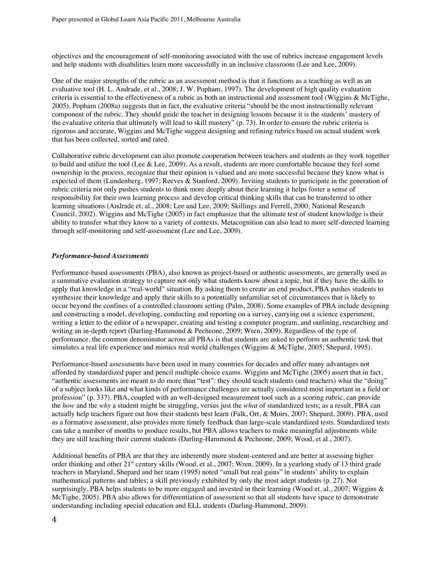objectives and the encouragement of self-monitoring associated with the use of rubrics increase engagement levels and help students with disabilities learn more successfully in an inclusive classroom (Lee and Lee, 2009).

One of the major strengths of the rubric as an assessment method is that it functions as a teaching as well as an evaluative tool (H. L. Andrade, et al., 2008; J. W. Popham, 1997). The development of high quality evaluation criteria is essential to the effectiveness of a rubric as both an instructional and assessment tool (Wiggins & McTighe, 2005). Popham (2008a) suggests that in fact, the evaluative criteria "should be the most instructionally relevant component of the rubric. They should guide the teacher in designing lessons because it is the students' mastery of the evaluative criteria that ultimately will lead to skill mastery" (p. 73). In order to ensure the rubric criteria is rigorous and accurate, Wiggins and McTighe suggest designing and refining rubrics based on actual student work that has been collected, sorted and rated.

Collaborative rubric development can also promote cooperation between teachers and students as they work together to build and utilize the tool (Lee & Lee, 2009). As a result, students are more comfortable because they feel some ownership in the process, recognize that their opinion is valued and are more successful because they know what is expected of them (Lundenberg, 1997; Reeves & Stanford, 2009). Inviting students to participate in the generation of rubric criteria not only pushes students to think more deeply about their learning it helps foster a sense of responsibility for their own learning process and develop critical thinking skills that can be transferred to other learning situations (Andrade et. al., 2008; Lee and Lee, 2009; Skillings and Ferrell, 2000; National Research Council, 2002). Wiggins and McTighe (2005) in fact emphasize that the ultimate test of student knowledge is their ability to transfer what they know to a variety of contexts. Metacognition can also lead to more self-directed learning through self-monitoring and self-assessment (Lee and Lee, 2009).

#### *Performance-based Assessments*

Performance-based assessments (PBA), also known as project-based or authentic assessments, are generally used as a summative evaluation strategy to capture not only what students know about a topic, but if they have the skills to apply that knowledge in a "real-world" situation. By asking them to create an end product, PBA pushes students to synthesize their knowledge and apply their skills to a potentially unfamiliar set of circumstances that is likely to occur beyond the confines of a controlled classroom setting (Palm, 2008). Some examples of PBA include designing and constructing a model, developing, conducting and reporting on a survey, carrying out a science experiment, writing a letter to the editor of a newspaper, creating and testing a computer program, and outlining, researching and writing an in-depth report (Darling-Hammond & Pecheone, 2009; Wren, 2009). Regardless of the type of performance, the common denominator across all PBAs is that students are asked to perform an authentic task that simulates a real life experience and mimics real world challenges (Wiggins & McTighe, 2005; Shepard, 1995).

Performance-based assessments have been used in many countries for decades and offer many advantages not afforded by standardized paper and pencil multiple-choice exams. Wiggins and McTighe (2005) assert that in fact, "authentic assessments are meant to do more than "test": they should teach students (and teachers) what the "doing" of a subject looks like and what kinds of performance challenges are actually considered most important in a field or profession" (p. 337). PBA, coupled with an well-designed measurement tool such as a scoring rubric, can provide the *how* and the *why* a student might be struggling, versus just the *what* of standardized tests; as a result, PBA can actually help teachers figure out how their students best learn (Falk, Ort, & Moirs, 2007; Shepard, 2009). PBA, used as a formative assessment, also provides more timely feedback than large-scale standardized tests. Standardized tests can take a number of months to produce results, but PBA allows teachers to make meaningful adjustments while they are still teaching their current students (Darling-Hammond & Pecheone, 2009; Wood, et al., 2007).

Additional benefits of PBA are that they are inherently more student-centered and are better at assessing higher order thinking and other 21st century skills (Wood, et al., 2007; Wren, 2009). In a yearlong study of 13 third grade teachers in Maryland, Shepard and her team (1995) noted "small but real gains" in students' ability to explain mathematical patterns and tables; a skill previously exhibited by only the most adept students (p. 27). Not surprisingly, PBA helps students to be more engaged and invested in their learning (Wood et. al., 2007; Wiggins & McTighe, 2005). PBA also allows for differentiation of assessment so that all students have space to demonstrate understanding including special education and ELL students (Darling-Hammond, 2009).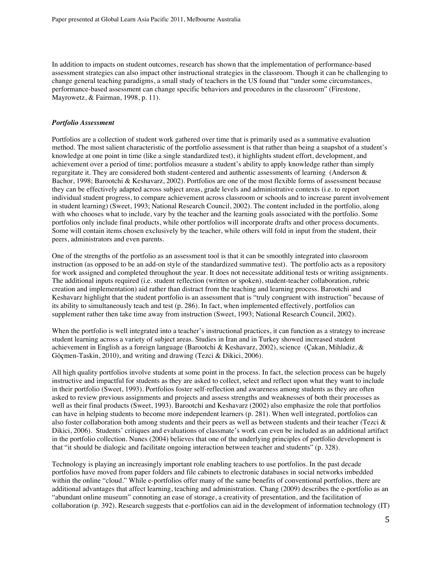In addition to impacts on student outcomes, research has shown that the implementation of performance-based assessment strategies can also impact other instructional strategies in the classroom. Though it can be challenging to change general teaching paradigms, a small study of teachers in the US found that "under some circumstances, performance-based assessment can change specific behaviors and procedures in the classroom" (Firestone, Mayrowetz, & Fairman, 1998, p. 11).

#### *Portfolio Assessment*

Portfolios are a collection of student work gathered over time that is primarily used as a summative evaluation method. The most salient characteristic of the portfolio assessment is that rather than being a snapshot of a student's knowledge at one point in time (like a single standardized test), it highlights student effort, development, and achievement over a period of time; portfolios measure a student's ability to apply knowledge rather than simply regurgitate it. They are considered both student-centered and authentic assessments of learning (Anderson & Bachor, 1998; Barootchi & Keshavarz, 2002). Portfolios are one of the most flexible forms of assessment because they can be effectively adapted across subject areas, grade levels and administrative contexts (i.e. to report individual student progress, to compare achievement across classroom or schools and to increase parent involvement in student learning) (Sweet, 1993; National Research Council, 2002). The content included in the portfolio, along with who chooses what to include, vary by the teacher and the learning goals associated with the portfolio. Some portfolios only include final products, while other portfolios will incorporate drafts and other process documents. Some will contain items chosen exclusively by the teacher, while others will fold in input from the student, their peers, administrators and even parents.

One of the strengths of the portfolio as an assessment tool is that it can be smoothly integrated into classroom instruction (as opposed to be an add-on style of the standardized summative test). The portfolio acts as a repository for work assigned and completed throughout the year. It does not necessitate additional tests or writing assignments. The additional inputs required (i.e. student reflection (written or spoken), student-teacher collaboration, rubric creation and implementation) aid rather than distract from the teaching and learning process. Barootchi and Keshavarz highlight that the student portfolio is an assessment that is "truly congruent with instruction" because of its ability to simultaneously teach and test (p. 286). In fact, when implemented effectively, portfolios can supplement rather then take time away from instruction (Sweet, 1993; National Research Council, 2002).

When the portfolio is well integrated into a teacher's instructional practices, it can function as a strategy to increase student learning across a variety of subject areas. Studies in Iran and in Turkey showed increased student achievement in English as a foreign language (Barootchi & Keshavarz, 2002), science (Çakan, Mihladiz, & Göçmen-Taskin, 2010), and writing and drawing (Tezci & Dikici, 2006).

All high quality portfolios involve students at some point in the process. In fact, the selection process can be hugely instructive and impactful for students as they are asked to collect, select and reflect upon what they want to include in their portfolio (Sweet, 1993). Portfolios foster self-reflection and awareness among students as they are often asked to review previous assignments and projects and assess strengths and weaknesses of both their processes as well as their final products (Sweet, 1993). Barootchi and Keshavarz (2002) also emphasize the role that portfolios can have in helping students to become more independent learners (p. 281). When well integrated, portfolios can also foster collaboration both among students and their peers as well as between students and their teacher (Tezci & Dikici, 2006). Students' critiques and evaluations of classmate's work can even be included as an additional artifact in the portfolio collection. Nunes (2004) believes that one of the underlying principles of portfolio development is that "it should be dialogic and facilitate ongoing interaction between teacher and students" (p. 328).

Technology is playing an increasingly important role enabling teachers to use portfolios. In the past decade portfolios have moved from paper folders and file cabinets to electronic databases in social networks imbedded within the online "cloud." While e-portfolios offer many of the same benefits of conventional portfolios, there are additional advantages that affect learning, teaching and administration. Chang (2009) describes the e-portfolio as an "abundant online museum" connoting an ease of storage, a creativity of presentation, and the facilitation of collaboration (p. 392). Research suggests that e-portfolios can aid in the development of information technology (IT)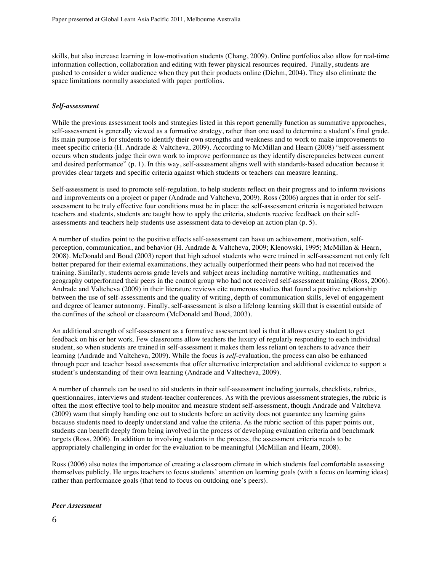skills, but also increase learning in low-motivation students (Chang, 2009). Online portfolios also allow for real-time information collection, collaboration and editing with fewer physical resources required. Finally, students are pushed to consider a wider audience when they put their products online (Diehm, 2004). They also eliminate the space limitations normally associated with paper portfolios.

## *Self-assessment*

While the previous assessment tools and strategies listed in this report generally function as summative approaches, self-assessment is generally viewed as a formative strategy, rather than one used to determine a student's final grade. Its main purpose is for students to identify their own strengths and weakness and to work to make improvements to meet specific criteria (H. Andrade & Valtcheva, 2009). According to McMillan and Hearn (2008) "self-assessment occurs when students judge their own work to improve performance as they identify discrepancies between current and desired performance" (p. 1). In this way, self-assessment aligns well with standards-based education because it provides clear targets and specific criteria against which students or teachers can measure learning.

Self-assessment is used to promote self-regulation, to help students reflect on their progress and to inform revisions and improvements on a project or paper (Andrade and Valtcheva, 2009). Ross (2006) argues that in order for selfassessment to be truly effective four conditions must be in place: the self-assessment criteria is negotiated between teachers and students, students are taught how to apply the criteria, students receive feedback on their selfassessments and teachers help students use assessment data to develop an action plan (p. 5).

A number of studies point to the positive effects self-assessment can have on achievement, motivation, selfperception, communication, and behavior (H. Andrade & Valtcheva, 2009; Klenowski, 1995; McMillan & Hearn, 2008). McDonald and Boud (2003) report that high school students who were trained in self-assessment not only felt better prepared for their external examinations, they actually outperformed their peers who had not received the training. Similarly, students across grade levels and subject areas including narrative writing, mathematics and geography outperformed their peers in the control group who had not received self-assessment training (Ross, 2006). Andrade and Valtcheva (2009) in their literature reviews cite numerous studies that found a positive relationship between the use of self-assessments and the quality of writing, depth of communication skills, level of engagement and degree of learner autonomy. Finally, self-assessment is also a lifelong learning skill that is essential outside of the confines of the school or classroom (McDonald and Boud, 2003).

An additional strength of self-assessment as a formative assessment tool is that it allows every student to get feedback on his or her work. Few classrooms allow teachers the luxury of regularly responding to each individual student, so when students are trained in self-assessment it makes them less reliant on teachers to advance their learning (Andrade and Valtcheva, 2009). While the focus is *self*-evaluation, the process can also be enhanced through peer and teacher based assessments that offer alternative interpretation and additional evidence to support a student's understanding of their own learning (Andrade and Valtecheva, 2009).

A number of channels can be used to aid students in their self-assessment including journals, checklists, rubrics, questionnaires, interviews and student-teacher conferences. As with the previous assessment strategies, the rubric is often the most effective tool to help monitor and measure student self-assessment, though Andrade and Valtcheva (2009) warn that simply handing one out to students before an activity does not guarantee any learning gains because students need to deeply understand and value the criteria. As the rubric section of this paper points out, students can benefit deeply from being involved in the process of developing evaluation criteria and benchmark targets (Ross, 2006). In addition to involving students in the process, the assessment criteria needs to be appropriately challenging in order for the evaluation to be meaningful (McMillan and Hearn, 2008).

Ross (2006) also notes the importance of creating a classroom climate in which students feel comfortable assessing themselves publicly. He urges teachers to focus students' attention on learning goals (with a focus on learning ideas) rather than performance goals (that tend to focus on outdoing one's peers).

## *Peer Assessment*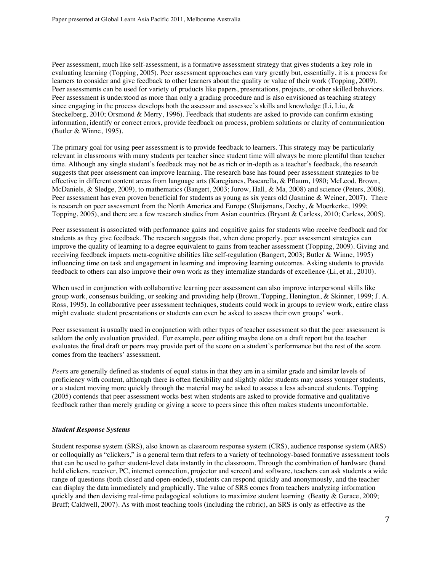Peer assessment, much like self-assessment, is a formative assessment strategy that gives students a key role in evaluating learning (Topping, 2005). Peer assessment approaches can vary greatly but, essentially, it is a process for learners to consider and give feedback to other learners about the quality or value of their work (Topping, 2009). Peer assessments can be used for variety of products like papers, presentations, projects, or other skilled behaviors. Peer assessment is understood as more than only a grading procedure and is also envisioned as teaching strategy since engaging in the process develops both the assessor and assessee's skills and knowledge (Li, Liu, & Steckelberg, 2010; Orsmond & Merry, 1996). Feedback that students are asked to provide can confirm existing information, identify or correct errors, provide feedback on process, problem solutions or clarity of communication (Butler & Winne, 1995).

The primary goal for using peer assessment is to provide feedback to learners. This strategy may be particularly relevant in classrooms with many students per teacher since student time will always be more plentiful than teacher time. Although any single student's feedback may not be as rich or in-depth as a teacher's feedback, the research suggests that peer assessment can improve learning. The research base has found peer assessment strategies to be effective in different content areas from language arts (Karegianes, Pascarella, & Pflaum, 1980; McLeod, Brown, McDaniels, & Sledge, 2009), to mathematics (Bangert, 2003; Jurow, Hall, & Ma, 2008) and science (Peters, 2008). Peer assessment has even proven beneficial for students as young as six years old (Jasmine & Weiner, 2007). There is research on peer assessment from the North America and Europe (Sluijsmans, Dochy, & Moerkerke, 1999; Topping, 2005), and there are a few research studies from Asian countries (Bryant & Carless, 2010; Carless, 2005).

Peer assessment is associated with performance gains and cognitive gains for students who receive feedback and for students as they give feedback. The research suggests that, when done properly, peer assessment strategies can improve the quality of learning to a degree equivalent to gains from teacher assessment (Topping, 2009). Giving and receiving feedback impacts meta-cognitive abilities like self-regulation (Bangert, 2003; Butler & Winne, 1995) influencing time on task and engagement in learning and improving learning outcomes. Asking students to provide feedback to others can also improve their own work as they internalize standards of excellence (Li, et al., 2010).

When used in conjunction with collaborative learning peer assessment can also improve interpersonal skills like group work, consensus building, or seeking and providing help (Brown, Topping, Henington, & Skinner, 1999; J. A. Ross, 1995). In collaborative peer assessment techniques, students could work in groups to review work, entire class might evaluate student presentations or students can even be asked to assess their own groups' work.

Peer assessment is usually used in conjunction with other types of teacher assessment so that the peer assessment is seldom the only evaluation provided. For example, peer editing maybe done on a draft report but the teacher evaluates the final draft or peers may provide part of the score on a student's performance but the rest of the score comes from the teachers' assessment.

*Peers* are generally defined as students of equal status in that they are in a similar grade and similar levels of proficiency with content, although there is often flexibility and slightly older students may assess younger students, or a student moving more quickly through the material may be asked to assess a less advanced students. Topping (2005) contends that peer assessment works best when students are asked to provide formative and qualitative feedback rather than merely grading or giving a score to peers since this often makes students uncomfortable.

## *Student Response Systems*

Student response system (SRS), also known as classroom response system (CRS), audience response system (ARS) or colloquially as "clickers," is a general term that refers to a variety of technology-based formative assessment tools that can be used to gather student-level data instantly in the classroom. Through the combination of hardware (hand held clickers, receiver, PC, internet connection, projector and screen) and software, teachers can ask students a wide range of questions (both closed and open-ended), students can respond quickly and anonymously, and the teacher can display the data immediately and graphically. The value of SRS comes from teachers analyzing information quickly and then devising real-time pedagogical solutions to maximize student learning (Beatty & Gerace, 2009; Bruff; Caldwell, 2007). As with most teaching tools (including the rubric), an SRS is only as effective as the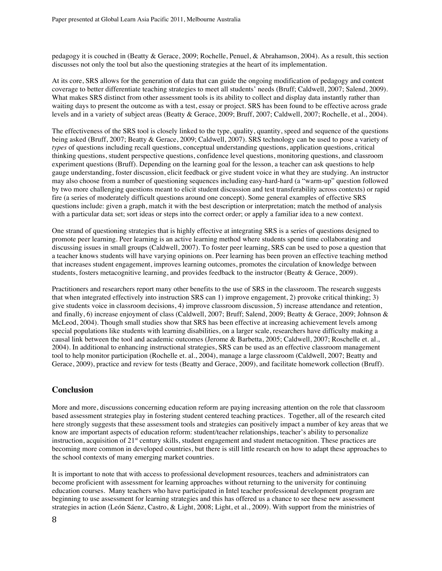pedagogy it is couched in (Beatty & Gerace, 2009; Rochelle, Penuel, & Abrahamson, 2004). As a result, this section discusses not only the tool but also the questioning strategies at the heart of its implementation.

At its core, SRS allows for the generation of data that can guide the ongoing modification of pedagogy and content coverage to better differentiate teaching strategies to meet all students' needs (Bruff; Caldwell, 2007; Salend, 2009). What makes SRS distinct from other assessment tools is its ability to collect and display data instantly rather than waiting days to present the outcome as with a test, essay or project. SRS has been found to be effective across grade levels and in a variety of subject areas (Beatty & Gerace, 2009; Bruff, 2007; Caldwell, 2007; Rochelle, et al., 2004).

The effectiveness of the SRS tool is closely linked to the type, quality, quantity, speed and sequence of the questions being asked (Bruff, 2007; Beatty & Gerace, 2009; Caldwell, 2007). SRS technology can be used to pose a variety of *types* of questions including recall questions, conceptual understanding questions, application questions, critical thinking questions, student perspective questions, confidence level questions, monitoring questions, and classroom experiment questions (Bruff). Depending on the learning goal for the lesson, a teacher can ask questions to help gauge understanding, foster discussion, elicit feedback or give student voice in what they are studying. An instructor may also choose from a number of questioning sequences including easy-hard-hard (a "warm-up" question followed by two more challenging questions meant to elicit student discussion and test transferability across contexts) or rapid fire (a series of moderately difficult questions around one concept). Some general examples of effective SRS questions include: given a graph, match it with the best description or interpretation; match the method of analysis with a particular data set; sort ideas or steps into the correct order; or apply a familiar idea to a new context.

One strand of questioning strategies that is highly effective at integrating SRS is a series of questions designed to promote peer learning. Peer learning is an active learning method where students spend time collaborating and discussing issues in small groups (Caldwell, 2007). To foster peer learning, SRS can be used to pose a question that a teacher knows students will have varying opinions on. Peer learning has been proven an effective teaching method that increases student engagement, improves learning outcomes, promotes the circulation of knowledge between students, fosters metacognitive learning, and provides feedback to the instructor (Beatty & Gerace, 2009).

Practitioners and researchers report many other benefits to the use of SRS in the classroom. The research suggests that when integrated effectively into instruction SRS can 1) improve engagement, 2) provoke critical thinking; 3) give students voice in classroom decisions, 4) improve classroom discussion, 5) increase attendance and retention, and finally, 6) increase enjoyment of class (Caldwell, 2007; Bruff; Salend, 2009; Beatty & Gerace, 2009; Johnson & McLeod, 2004). Though small studies show that SRS has been effective at increasing achievement levels among special populations like students with learning disabilities, on a larger scale, researchers have difficulty making a causal link between the tool and academic outcomes (Jerome & Barbetta, 2005; Caldwell, 2007; Roschelle et. al., 2004). In additional to enhancing instructional strategies, SRS can be used as an effective classroom management tool to help monitor participation (Rochelle et. al., 2004), manage a large classroom (Caldwell, 2007; Beatty and Gerace, 2009), practice and review for tests (Beatty and Gerace, 2009), and facilitate homework collection (Bruff).

# **Conclusion**

More and more, discussions concerning education reform are paying increasing attention on the role that classroom based assessment strategies play in fostering student centered teaching practices. Together, all of the research cited here strongly suggests that these assessment tools and strategies can positively impact a number of key areas that we know are important aspects of education reform: student/teacher relationships, teacher's ability to personalize instruction, acquisition of 21<sup>st</sup> century skills, student engagement and student metacognition. These practices are becoming more common in developed countries, but there is still little research on how to adapt these approaches to the school contexts of many emerging market countries.

It is important to note that with access to professional development resources, teachers and administrators can become proficient with assessment for learning approaches without returning to the university for continuing education courses. Many teachers who have participated in Intel teacher professional development program are beginning to use assessment for learning strategies and this has offered us a chance to see these new assessment strategies in action (León Sáenz, Castro, & Light, 2008; Light, et al., 2009). With support from the ministries of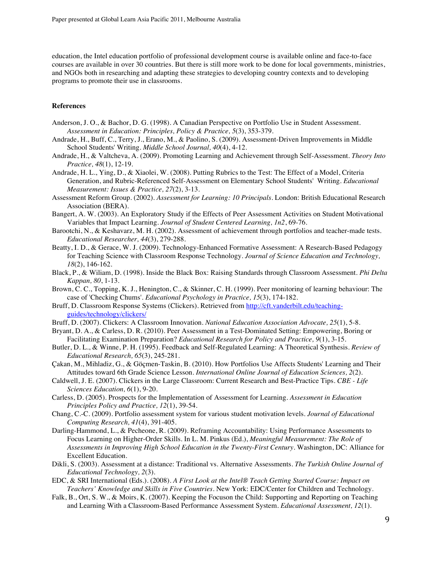education, the Intel education portfolio of professional development course is available online and face-to-face courses are available in over 30 countries. But there is still more work to be done for local governments, ministries, and NGOs both in researching and adapting these strategies to developing country contexts and to developing programs to promote their use in classrooms.

## **References**

- Anderson, J. O., & Bachor, D. G. (1998). A Canadian Perspective on Portfolio Use in Student Assessment. *Assessment in Education: Principles, Policy & Practice, 5*(3), 353-379.
- Andrade, H., Buff, C., Terry, J., Erano, M., & Paolino, S. (2009). Assessment-Driven Improvements in Middle School Students' Writing. *Middle School Journal, 40*(4), 4-12.
- Andrade, H., & Valtcheva, A. (2009). Promoting Learning and Achievement through Self-Assessment. *Theory Into Practice, 48*(1), 12-19.
- Andrade, H. L., Ying, D., & Xiaolei, W. (2008). Putting Rubrics to the Test: The Effect of a Model, Criteria Generation, and Rubric-Referenced Self-Assessment on Elementary School Students' Writing. *Educational Measurement: Issues & Practice, 27*(2), 3-13.
- Assessment Reform Group. (2002). *Assessment for Learning: 10 Principals*. London: British Educational Research Association (BERA).
- Bangert, A. W. (2003). An Exploratory Study if the Effects of Peer Assessment Activities on Student Motivational Variables that Impact Learning. *Journal of Student Centered Learning, 1n2*, 69-76.
- Barootchi, N., & Keshavarz, M. H. (2002). Assessment of achievement through portfolios and teacher-made tests. *Educational Researcher, 44*(3), 279-288.
- Beatty, I. D., & Gerace, W. J. (2009). Technology-Enhanced Formative Assessment: A Research-Based Pedagogy for Teaching Science with Classroom Response Technology. *Journal of Science Education and Technology, 18*(2), 146-162.
- Black, P., & Wiliam, D. (1998). Inside the Black Box: Raising Standards through Classroom Assessment. *Phi Delta Kappan, 80*, 1-13.
- Brown, C. C., Topping, K. J., Henington, C., & Skinner, C. H. (1999). Peer monitoring of learning behaviour: The case of 'Checking Chums'. *Educational Psychology in Practice, 15*(3), 174-182.
- Bruff, D. Classroom Response Systems (Clickers). Retrieved from http://cft.vanderbilt.edu/teachingguides/technology/clickers/
- Bruff, D. (2007). Clickers: A Classroom Innovation. *National Education Association Advocate, 25*(1), 5-8.
- Bryant, D. A., & Carless, D. R. (2010). Peer Assessment in a Test-Dominated Setting: Empowering, Boring or Facilitating Examination Preparation? *Educational Research for Policy and Practice, 9*(1), 3-15.
- Butler, D. L., & Winne, P. H. (1995). Feedback and Self-Regulated Learning: A Theoretical Synthesis. *Review of Educational Research, 65*(3), 245-281.
- Çakan, M., Mihladiz, G., & Göçmen-Taskin, B. (2010). How Portfolios Use Affects Students' Learning and Their Attitudes toward 6th Grade Science Lesson. *International Online Journal of Education Sciences, 2*(2).
- Caldwell, J. E. (2007). Clickers in the Large Classroom: Current Research and Best-Practice Tips. *CBE Life Sciences Education, 6*(1), 9-20.
- Carless, D. (2005). Prospects for the Implementation of Assessment for Learning. *Assessment in Education Principles Policy and Practice, 12*(1), 39-54.
- Chang, C.-C. (2009). Portfolio assessment system for various student motivation levels. *Journal of Educational Computing Research, 41*(4), 391-405.
- Darling-Hammond, L., & Pecheone, R. (2009). Reframing Accountability: Using Performance Assessments to Focus Learning on Higher-Order Skills. In L. M. Pinkus (Ed.), *Meaningful Measurement: The Role of Assessments in Improving High School Education in the Twenty-First Century*. Washington, DC: Alliance for Excellent Education.
- Dikli, S. (2003). Assessment at a distance: Traditional vs. Alternative Assessments. *The Turkish Online Journal of Educational Technology, 2*(3).
- EDC, & SRI International (Eds.). (2008). *A First Look at the Intel® Teach Getting Started Course: Impact on Teachers' Knowledge and Skills in Five Countries*. New York: EDC/Center for Children and Technology.
- Falk, B., Ort, S. W., & Moirs, K. (2007). Keeping the Focuson the Child: Supporting and Reporting on Teaching and Learning With a Classroom-Based Performance Assessment System. *Educational Assessment, 12*(1).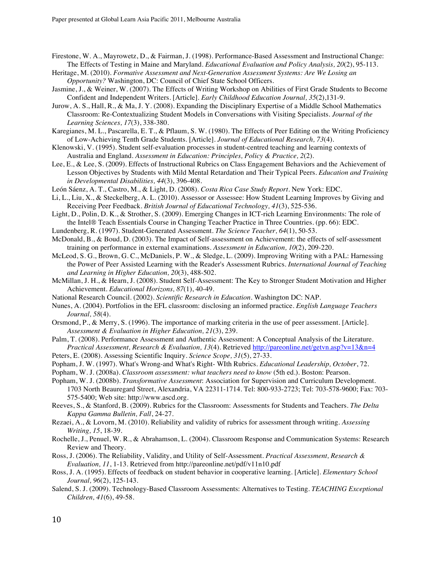- Firestone, W. A., Mayrowetz, D., & Fairman, J. (1998). Performance-Based Assessment and Instructional Change: The Effects of Testing in Maine and Maryland. *Educational Evaluation and Policy Analysis, 20*(2), 95-113.
- Heritage, M. (2010). *Formative Assessment and Next-Generation Assessment Systems: Are We Losing an Opportunity?* Washington, DC: Council of Chief State School Officers.
- Jasmine, J., & Weiner, W. (2007). The Effects of Writing Workshop on Abilities of First Grade Students to Become Confident and Independent Writers. [Article]. *Early Childhood Education Journal, 35*(2),131-9.
- Jurow, A. S., Hall, R., & Ma, J. Y. (2008). Expanding the Disciplinary Expertise of a Middle School Mathematics Classroom: Re-Contextualizing Student Models in Conversations with Visiting Specialists. *Journal of the Learning Sciences, 17*(3), 338-380.
- Karegianes, M. L., Pascarella, E. T., & Pflaum, S. W. (1980). The Effects of Peer Editing on the Writing Proficiency of Low-Achieving Tenth Grade Students. [Article]. *Journal of Educational Research, 73*(4).
- Klenowski, V. (1995). Student self-evaluation processes in student-centred teaching and learning contexts of Australia and England. *Assessment in Education: Principles, Policy & Practice, 2*(2).
- Lee, E., & Lee, S. (2009). Effects of Instructional Rubrics on Class Engagement Behaviors and the Achievement of Lesson Objectives by Students with Mild Mental Retardation and Their Typical Peers. *Education and Training in Developmental Disabilities, 44*(3), 396-408.
- León Sáenz, A. T., Castro, M., & Light, D. (2008). *Costa Rica Case Study Report*. New York: EDC.
- Li, L., Liu, X., & Steckelberg, A. L. (2010). Assessor or Assessee: How Student Learning Improves by Giving and Receiving Peer Feedback. *British Journal of Educational Technology, 41*(3), 525-536.
- Light, D., Polin, D. K., & Strother, S. (2009). Emerging Changes in ICT-rich Learning Environments: The role of the Intel® Teach Essentials Course in Changing Teacher Practice in Three Countries. (pp. 66): EDC.
- Lundenberg, R. (1997). Student-Generated Assessment. *The Science Teacher, 64*(1), 50-53.
- McDonald, B., & Boud, D. (2003). The Impact of Self-assessment on Achievement: the effects of self-assessment training on performance in external examinations. *Assessment in Education, 10*(2), 209-220.
- McLeod, S. G., Brown, G. C., McDaniels, P. W., & Sledge, L. (2009). Improving Writing with a PAL: Harnessing the Power of Peer Assisted Learning with the Reader's Assessment Rubrics. *International Journal of Teaching and Learning in Higher Education, 20*(3), 488-502.
- McMillan, J. H., & Hearn, J. (2008). Student Self-Assessment: The Key to Stronger Student Motivation and Higher Achievement. *Educational Horizons, 87*(1), 40-49.
- National Research Council. (2002). *Scientific Research in Education*. Washington DC: NAP.
- Nunes, A. (2004). Portfolios in the EFL classroom: disclosing an informed practice. *English Language Teachers Journal, 58*(4).
- Orsmond, P., & Merry, S. (1996). The importance of marking criteria in the use of peer assessment. [Article]. *Assessment & Evaluation in Higher Education, 21*(3), 239.
- Palm, T. (2008). Performance Assessment and Authentic Assessment: A Conceptual Analysis of the Literature. *Practical Assessment, Research & Evaluation, 13*(4). Retrieved http://pareonline.net/getvn.asp?v=13&n=4
- Peters, E. (2008). Assessing Scientific Inquiry. *Science Scope, 31*(5), 27-33.
- Popham, J. W. (1997). What's Wrong-and What's Right- WIth Rubrics. *Educational Leadership, October*, 72.
- Popham, W. J. (2008a). *Classroom assessment: what teachers need to know* (5th ed.). Boston: Pearson.
- Popham, W. J. (2008b). *Transformative Assessment*: Association for Supervision and Curriculum Development. 1703 North Beauregard Street, Alexandria, VA 22311-1714. Tel: 800-933-2723; Tel: 703-578-9600; Fax: 703- 575-5400; Web site: http://www.ascd.org.
- Reeves, S., & Stanford, B. (2009). Rubrics for the Classroom: Assessments for Students and Teachers. *The Delta Kappa Gamma Bulletin, Fall*, 24-27.
- Rezaei, A., & Lovorn, M. (2010). Reliability and validity of rubrics for assessment through writing. *Assessing Writing, 15*, 18-39.
- Rochelle, J., Penuel, W. R., & Abrahamson, L. (2004). Classroom Response and Communication Systems: Research Review and Theory.
- Ross, J. (2006). The Reliability, Validity, and Utility of Self-Assessment. *Practical Assessment, Research & Evaluation, 11*, 1-13. Retrieved from http://pareonline.net/pdf/v11n10.pdf
- Ross, J. A. (1995). Effects of feedback on student behavior in cooperative learning. [Article]. *Elementary School Journal, 96*(2), 125-143.
- Salend, S. J. (2009). Technology-Based Classroom Assessments: Alternatives to Testing. *TEACHING Exceptional Children, 41*(6), 49-58.